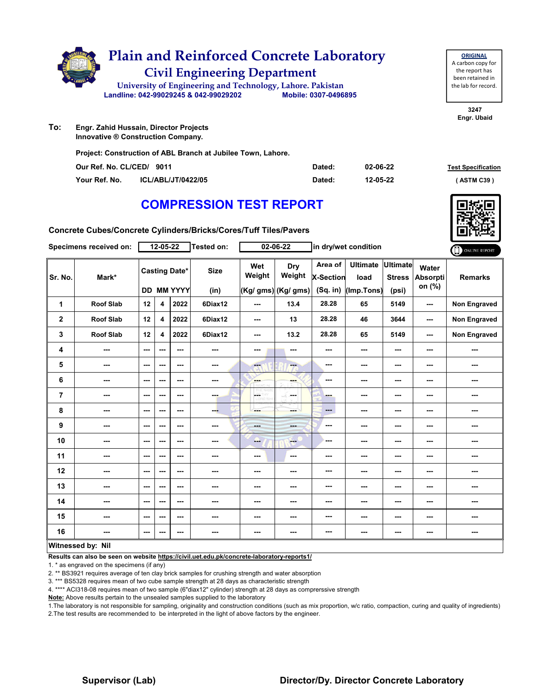

| To: | Engr. Zahid Hussain, Director Projects |
|-----|----------------------------------------|
|     | Innovative ® Construction Company.     |

**Project: Construction of ABL Branch at Jubilee Town, Lahore.**

| Our Ref. No. CL/CED/ 9011 |                           | Dated: | 02-06-22 | <b>Test Specification</b> |
|---------------------------|---------------------------|--------|----------|---------------------------|
| Your Ref. No.             | <b>ICL/ABL/JT/0422/05</b> | Dated: | 12-05-22 | (ASTM C39)                |

# **COMPRESSION TEST REPORT**

**Concrete Cubes/Concrete Cylinders/Bricks/Cores/Tuff Tiles/Pavers**

| <b>Specimens received on:</b> |                  |                          | 12-05-22                |                                    | Tested on:          |               | 02-06-22                             |                                         | in dry/wet condition                  |                                           |                                    | ONLINE REPORT       |
|-------------------------------|------------------|--------------------------|-------------------------|------------------------------------|---------------------|---------------|--------------------------------------|-----------------------------------------|---------------------------------------|-------------------------------------------|------------------------------------|---------------------|
| Sr. No.                       | Mark*            |                          |                         | <b>Casting Date*</b><br>DD MM YYYY | <b>Size</b><br>(in) | Wet<br>Weight | Dry<br>Weight<br>(Kg/ gms) (Kg/ gms) | Area of<br><b>X-Section</b><br>(Sq. in) | <b>Ultimate</b><br>load<br>(Imp.Tons) | <b>Ultimate</b><br><b>Stress</b><br>(psi) | Water<br><b>Absorpti</b><br>on (%) | <b>Remarks</b>      |
| $\mathbf{1}$                  | <b>Roof Slab</b> | 12                       | 4                       | 2022                               | 6Diax12             | $-$           | 13.4                                 | 28.28                                   | 65                                    | 5149                                      | ---                                | <b>Non Engraved</b> |
| $\mathbf 2$                   | <b>Roof Slab</b> | 12                       | $\overline{\mathbf{4}}$ | 2022                               | 6Diax12             | ---           | 13                                   | 28.28                                   | 46                                    | 3644                                      | ---                                | <b>Non Engraved</b> |
| 3                             | <b>Roof Slab</b> | 12                       | 4                       | 2022                               | 6Diax12             | ---           | 13.2                                 | 28.28                                   | 65                                    | 5149                                      | ---                                | <b>Non Engraved</b> |
| 4                             | ---              | ---                      | ---                     | $--$                               | ---                 | ---           | ---                                  | ---                                     | ---                                   | ---                                       | ---                                | ---                 |
| 5                             | ---              | $\sim$ $\sim$            | ---                     | ---                                | $\sim$              | ---           | ---                                  | ---                                     | ---                                   | ---                                       | ---                                | ---                 |
| $\bf 6$                       | ---              | $-$                      | ---                     | $- - -$                            | $\sim$ $\sim$       | ---           | ---                                  | ---                                     | ---                                   | ---                                       | ---                                | ---                 |
| $\overline{7}$                | ---              | $\sim$                   | ---                     | ---                                | ---                 | F.<br>D.VOU   | -F.<br>in mar                        | ---                                     | ---                                   | $--$                                      | ---                                | ---                 |
| 8                             | ---              | $\overline{\phantom{a}}$ | ---                     | $--$                               | --                  | ---           | ---                                  | ---                                     | ---                                   | ---                                       | ---                                | ---                 |
| 9                             | ---              | $\sim$ $\sim$            | ---                     | $- - -$                            | $\sim$              | <b>Hotel</b>  | ---                                  | ---                                     | ---                                   | $--$                                      | ---                                | ---                 |
| 10                            | ---              | $\sim$ $\sim$            | ---                     | ---                                | ---                 | --            | <b>Fee</b>                           | ---                                     | ---                                   | ---                                       | ---                                | ---                 |
| 11                            | ---              | $-$                      | ---                     | $- - -$                            | ---                 | $\sim$ $\sim$ | $-$                                  | ---                                     | ---                                   | ---                                       | ---                                | ---                 |
| 12                            | ---              | $\sim$                   | ---                     | ---                                | ---                 | ---           | ---                                  | ---                                     | ---                                   | ---                                       | ---                                | ---                 |
| 13                            | ---              | $\overline{\phantom{a}}$ | ---                     | ---                                | ---                 | ---           | ---                                  | ---                                     | ---                                   | ---                                       | ---                                | ---                 |
| 14                            | ---              | $-$                      | ---                     | ---                                | ---                 | ---           | ---                                  | ---                                     | ---                                   | ---                                       | ---                                | ---                 |
| 15                            | ---              | $\overline{\phantom{a}}$ | ---                     | ---                                | ---                 | ---           | ---                                  | ---                                     | ---                                   | ---                                       | ---                                | ---                 |
| 16                            | ---              | $\sim$ $\sim$            | ---                     | ---                                | ---                 | ---           | ---                                  | ---                                     | ---                                   | ---                                       | ---                                | ---                 |
| Witnossod hy Nil              |                  |                          |                         |                                    |                     |               |                                      |                                         |                                       |                                           |                                    |                     |

#### **Witnessed by: Nil**

**Results can also be seen on website https://civil.uet.edu.pk/concrete-laboratory-reports1/**

1. \* as engraved on the specimens (if any)

2. \*\* BS3921 requires average of ten clay brick samples for crushing strength and water absorption

3. \*\*\* BS5328 requires mean of two cube sample strength at 28 days as characteristic strength

4. \*\*\*\* ACI318-08 requires mean of two sample (6"diax12" cylinder) strength at 28 days as comprerssive strength

**Note:** Above results pertain to the unsealed samples supplied to the laboratory

1.The laboratory is not responsible for sampling, originality and construction conditions (such as mix proportion, w/c ratio, compaction, curing and quality of ingredients) 2.The test results are recommended to be interpreted in the light of above factors by the engineer.

**3247 Engr. Ubaid**

## **Supervisor (Lab) Director/Dy. Director Concrete Laboratory**